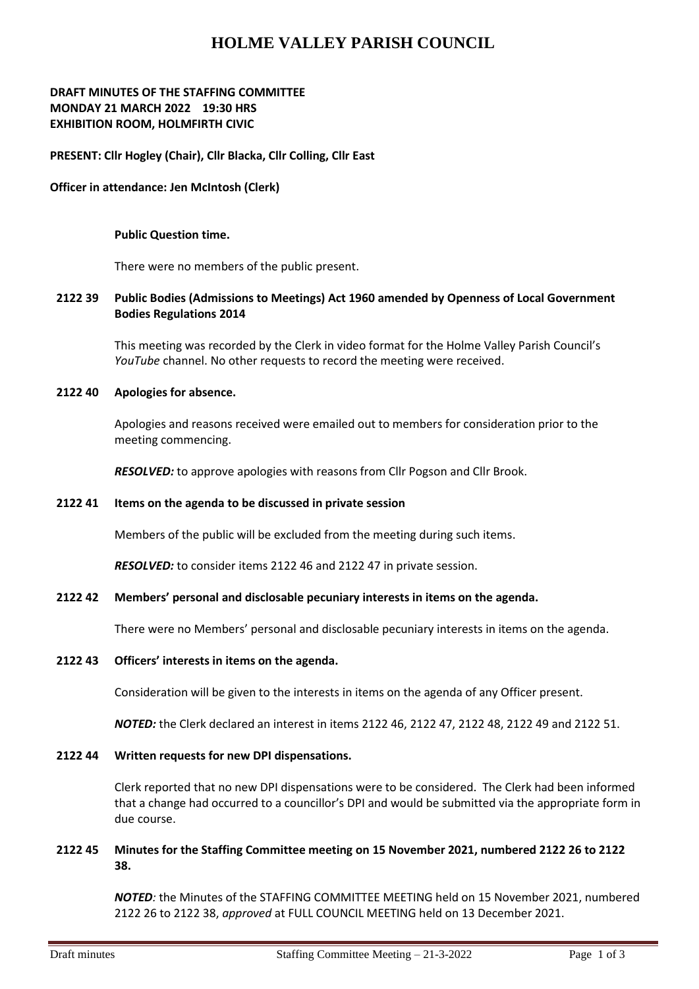# **HOLME VALLEY PARISH COUNCIL**

## **DRAFT MINUTES OF THE STAFFING COMMITTEE MONDAY 21 MARCH 2022 19:30 HRS EXHIBITION ROOM, HOLMFIRTH CIVIC**

## **PRESENT: Cllr Hogley (Chair), Cllr Blacka, Cllr Colling, Cllr East**

#### **Officer in attendance: Jen McIntosh (Clerk)**

#### **Public Question time.**

There were no members of the public present.

## **2122 39 Public Bodies (Admissions to Meetings) Act 1960 amended by Openness of Local Government Bodies Regulations 2014**

This meeting was recorded by the Clerk in video format for the Holme Valley Parish Council's *YouTube* channel. No other requests to record the meeting were received.

#### **2122 40 Apologies for absence.**

Apologies and reasons received were emailed out to members for consideration prior to the meeting commencing.

*RESOLVED:* to approve apologies with reasons from Cllr Pogson and Cllr Brook.

#### **2122 41 Items on the agenda to be discussed in private session**

Members of the public will be excluded from the meeting during such items.

*RESOLVED:* to consider items 2122 46 and 2122 47 in private session.

#### **2122 42 Members' personal and disclosable pecuniary interests in items on the agenda.**

There were no Members' personal and disclosable pecuniary interests in items on the agenda.

## **2122 43 Officers' interests in items on the agenda.**

Consideration will be given to the interests in items on the agenda of any Officer present.

*NOTED:* the Clerk declared an interest in items 2122 46, 2122 47, 2122 48, 2122 49 and 2122 51.

#### **2122 44 Written requests for new DPI dispensations.**

Clerk reported that no new DPI dispensations were to be considered. The Clerk had been informed that a change had occurred to a councillor's DPI and would be submitted via the appropriate form in due course.

#### **2122 45 Minutes for the Staffing Committee meeting on 15 November 2021, numbered 2122 26 to 2122 38.**

*NOTED:* the Minutes of the STAFFING COMMITTEE MEETING held on 15 November 2021, numbered 2122 26 to 2122 38, *approved* at FULL COUNCIL MEETING held on 13 December 2021.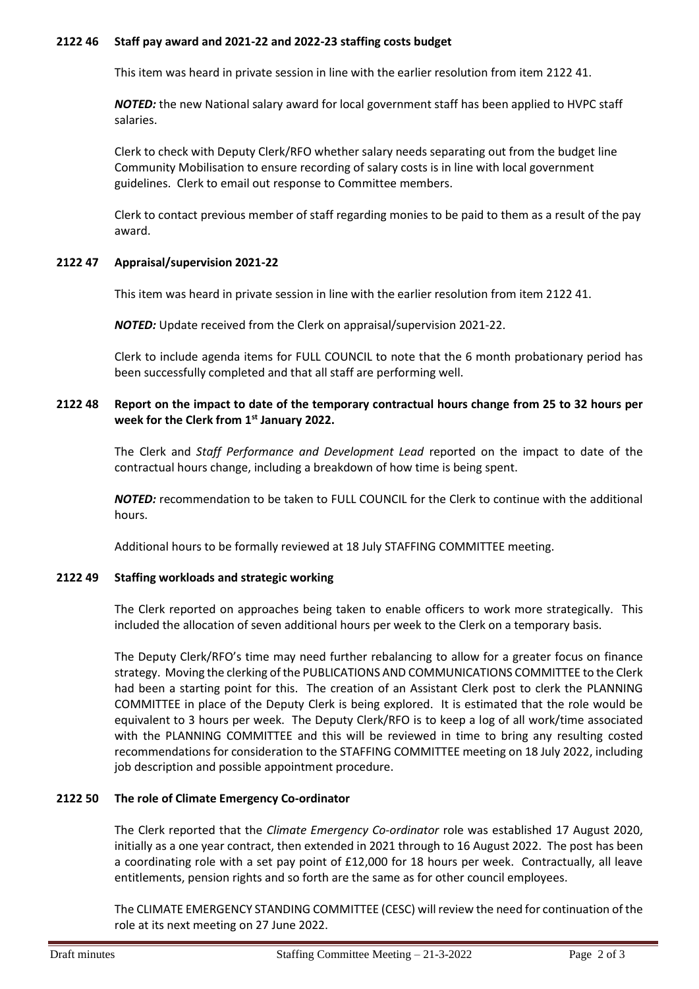## **2122 46 Staff pay award and 2021-22 and 2022-23 staffing costs budget**

This item was heard in private session in line with the earlier resolution from item 2122 41.

*NOTED:* the new National salary award for local government staff has been applied to HVPC staff salaries.

Clerk to check with Deputy Clerk/RFO whether salary needs separating out from the budget line Community Mobilisation to ensure recording of salary costs is in line with local government guidelines. Clerk to email out response to Committee members.

Clerk to contact previous member of staff regarding monies to be paid to them as a result of the pay award.

## **2122 47 Appraisal/supervision 2021-22**

This item was heard in private session in line with the earlier resolution from item 2122 41.

*NOTED:* Update received from the Clerk on appraisal/supervision 2021-22.

Clerk to include agenda items for FULL COUNCIL to note that the 6 month probationary period has been successfully completed and that all staff are performing well.

## **2122 48 Report on the impact to date of the temporary contractual hours change from 25 to 32 hours per week for the Clerk from 1st January 2022.**

The Clerk and *Staff Performance and Development Lead* reported on the impact to date of the contractual hours change, including a breakdown of how time is being spent.

*NOTED:* recommendation to be taken to FULL COUNCIL for the Clerk to continue with the additional hours.

Additional hours to be formally reviewed at 18 July STAFFING COMMITTEE meeting.

#### **2122 49 Staffing workloads and strategic working**

The Clerk reported on approaches being taken to enable officers to work more strategically. This included the allocation of seven additional hours per week to the Clerk on a temporary basis.

The Deputy Clerk/RFO's time may need further rebalancing to allow for a greater focus on finance strategy. Moving the clerking of the PUBLICATIONS AND COMMUNICATIONS COMMITTEE to the Clerk had been a starting point for this. The creation of an Assistant Clerk post to clerk the PLANNING COMMITTEE in place of the Deputy Clerk is being explored. It is estimated that the role would be equivalent to 3 hours per week. The Deputy Clerk/RFO is to keep a log of all work/time associated with the PLANNING COMMITTEE and this will be reviewed in time to bring any resulting costed recommendations for consideration to the STAFFING COMMITTEE meeting on 18 July 2022, including job description and possible appointment procedure.

# **2122 50 The role of Climate Emergency Co-ordinator**

The Clerk reported that the *Climate Emergency Co-ordinator* role was established 17 August 2020, initially as a one year contract, then extended in 2021 through to 16 August 2022. The post has been a coordinating role with a set pay point of £12,000 for 18 hours per week. Contractually, all leave entitlements, pension rights and so forth are the same as for other council employees.

The CLIMATE EMERGENCY STANDING COMMITTEE (CESC) will review the need for continuation of the role at its next meeting on 27 June 2022.